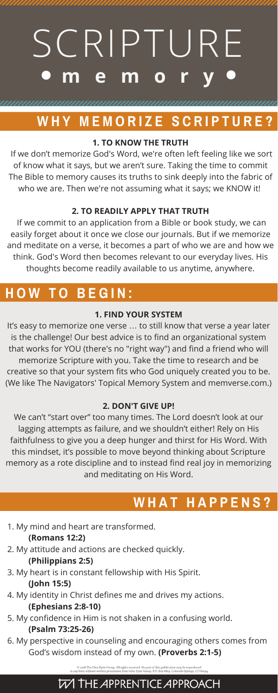## **1. TO KNOW THE TRUTH**

If we don't memorize God's Word, we're often left feeling like we sort of know what it says, but we aren't sure. Taking the time to commit The Bible to memory causes its truths to sink deeply into the fabric of who we are. Then we're not assuming what it says; we KNOW it!

## **2. TO READILY APPLY THAT TRUTH**

If we commit to an application from a Bible or book study, we can easily forget about it once we close our journals. But if we memorize and meditate on a verse, it becomes a part of who we are and how we think. God's Word then becomes relevant to our everyday lives. His thoughts become readily available to us anytime, anywhere.

# **W H Y M E M O R I Z E S C R I P T U R E ?**

### **1. FIND YOUR SYSTEM**

It's easy to memorize one verse … to still know that verse a year later is the challenge! Our best advice is to find an organizational system that works for YOU (there's no "right way") and find a friend who will memorize Scripture with you. Take the time to research and be creative so that your system fits who God uniquely created you to be. (We like The Navigators' Topical Memory System and memverse.com.)

# SCRIPTURE **m e m o r y**

#### **2. DON'T GIVE UP!**

We can't "start over" too many times. The Lord doesn't look at our lagging attempts as failure, and we shouldn't either! Rely on His faithfulness to give you a deep hunger and thirst for His Word. With this mindset, it's possible to move beyond thinking about Scripture memory as a rote discipline and to instead find real joy in memorizing and meditating on His Word.

1. My mind and heart are transformed.

### **(Romans 12:2)**

2. My attitude and actions are checked quickly.

## **(Philippians 2:5)**

3. My heart is in constant fellowship with His Spirit.

## **(John 15:5)**

4. My identity in Christ defines me and drives my actions.

## **(Ephesians 2:8-10)**

- 5. My confidence in Him is not shaken in a confusing world. **(Psalm 73:25-26)**
- 6. My perspective in counseling and encouraging others comes from God's wisdom instead of my own. **(Proverbs 2:1-5)**

 $\odot$  2018 The Glen Eyrie Group. All rights reserved. No part of this publication may be reproduced<br>in any form without written permission from Glen Eyrie Group. P.O. Box 6819, Colorado Springs, CO 80934

## **W THE APPRENTICE APPROACH**

# **H O W T O B E G I N :**

# **W H A T H A P P E N S ?**